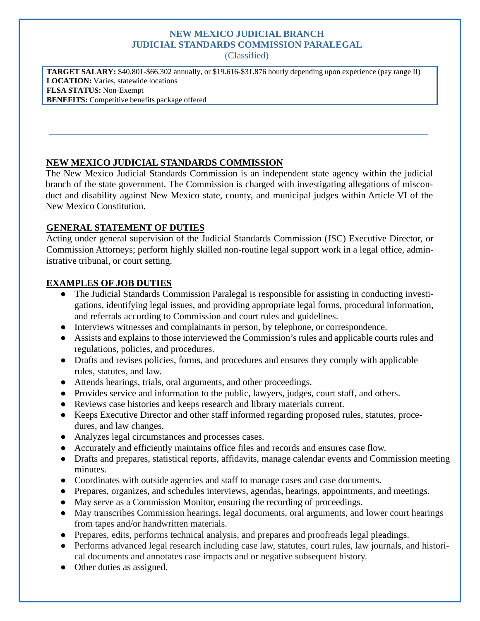# **NEW MEXICO JUDICIAL BRANCH JUDICIAL STANDARDS COMMISSION PARALEGAL**

(Classified)

**TARGET SALARY:** \$40,801-\$66,302 annually, or \$19.616-\$31.876 hourly depending upon experience (pay range II) **LOCATION:** Varies, statewide locations **FLSA STATUS:** Non-Exempt **BENEFITS:** Competitive benefits package offered

### **NEW MEXICO JUDICIAL STANDARDS COMMISSION**

The New Mexico Judicial Standards Commission is an independent state agency within the judicial branch of the state government. The Commission is charged with investigating allegations of misconduct and disability against New Mexico state, county, and municipal judges within Article VI of the New Mexico Constitution.

### **GENERAL STATEMENT OF DUTIES**

Acting under general supervision of the Judicial Standards Commission (JSC) Executive Director, or Commission Attorneys; perform highly skilled non-routine legal support work in a legal office, administrative tribunal, or court setting.

#### **EXAMPLES OF JOB DUTIES**

- The Judicial Standards Commission Paralegal is responsible for assisting in conducting investigations, identifying legal issues, and providing appropriate legal forms, procedural information, and referrals according to Commission and court rules and guidelines.
- Interviews witnesses and complainants in person, by telephone, or correspondence.
- Assists and explains to those interviewed the Commission's rules and applicable courts rules and regulations, policies, and procedures.
- Drafts and revises policies, forms, and procedures and ensures they comply with applicable rules, statutes, and law.
- Attends hearings, trials, oral arguments, and other proceedings.
- Provides service and information to the public, lawyers, judges, court staff, and others.
- Reviews case histories and keeps research and library materials current.
- Keeps Executive Director and other staff informed regarding proposed rules, statutes, procedures, and law changes.
- Analyzes legal circumstances and processes cases.
- Accurately and efficiently maintains office files and records and ensures case flow.
- Drafts and prepares, statistical reports, affidavits, manage calendar events and Commission meeting minutes.
- Coordinates with outside agencies and staff to manage cases and case documents.
- Prepares, organizes, and schedules interviews, agendas, hearings, appointments, and meetings.
- May serve as a Commission Monitor, ensuring the recording of proceedings.
- May transcribes Commission hearings, legal documents, oral arguments, and lower court hearings from tapes and/or handwritten materials.
- Prepares, edits, performs technical analysis, and prepares and proofreads legal pleadings.
- Performs advanced legal research including case law, statutes, court rules, law journals, and historical documents and annotates case impacts and or negative subsequent history.
- Other duties as assigned.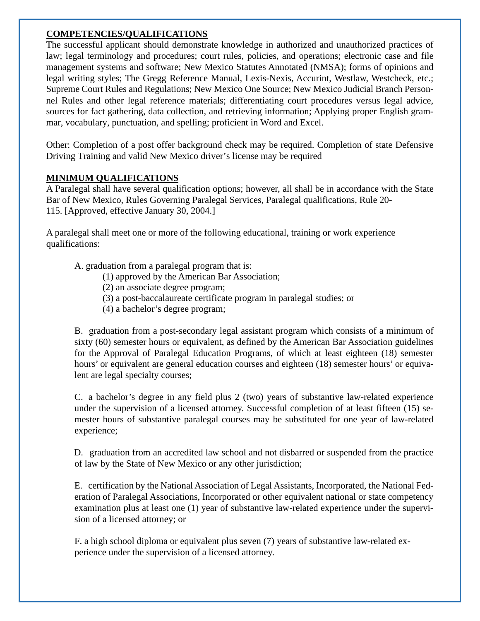#### **COMPETENCIES/QUALIFICATIONS**

The successful applicant should demonstrate knowledge in authorized and unauthorized practices of law; legal terminology and procedures; court rules, policies, and operations; electronic case and file management systems and software; New Mexico Statutes Annotated (NMSA); forms of opinions and legal writing styles; The Gregg Reference Manual, Lexis-Nexis, Accurint, Westlaw, Westcheck, etc.; Supreme Court Rules and Regulations; New Mexico One Source; New Mexico Judicial Branch Personnel Rules and other legal reference materials; differentiating court procedures versus legal advice, sources for fact gathering, data collection, and retrieving information; Applying proper English grammar, vocabulary, punctuation, and spelling; proficient in Word and Excel.

Other: Completion of a post offer background check may be required. Completion of state Defensive Driving Training and valid New Mexico driver's license may be required

## **MINIMUM QUALIFICATIONS**

A Paralegal shall have several qualification options; however, all shall be in accordance with the State Bar of New Mexico, Rules Governing Paralegal Services, Paralegal qualifications, Rule 20- 115. [Approved, effective January 30, 2004.]

A paralegal shall meet one or more of the following educational, training or work experience qualifications:

A. graduation from a paralegal program that is:

- (1) approved by the American Bar Association;
- (2) an associate degree program;
- (3) a post-baccalaureate certificate program in paralegal studies; or
- (4) a bachelor's degree program;

B. graduation from a post-secondary legal assistant program which consists of a minimum of sixty (60) semester hours or equivalent, as defined by the American Bar Association guidelines for the Approval of Paralegal Education Programs, of which at least eighteen (18) semester hours' or equivalent are general education courses and eighteen (18) semester hours' or equivalent are legal specialty courses;

C. a bachelor's degree in any field plus 2 (two) years of substantive law-related experience under the supervision of a licensed attorney. Successful completion of at least fifteen (15) semester hours of substantive paralegal courses may be substituted for one year of law-related experience;

D. graduation from an accredited law school and not disbarred or suspended from the practice of law by the State of New Mexico or any other jurisdiction;

E. certification by the National Association of Legal Assistants, Incorporated, the National Federation of Paralegal Associations, Incorporated or other equivalent national or state competency examination plus at least one (1) year of substantive law-related experience under the supervision of a licensed attorney; or

F. a high school diploma or equivalent plus seven (7) years of substantive law-related experience under the supervision of a licensed attorney.